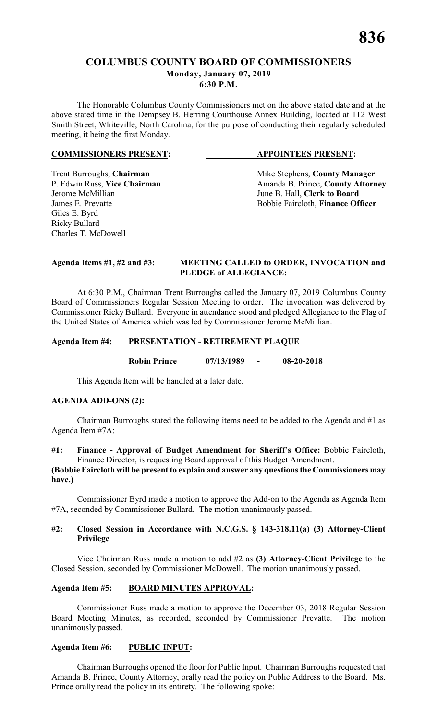# **COLUMBUS COUNTY BOARD OF COMMISSIONERS Monday, January 07, 2019 6:30 P.M.**

The Honorable Columbus County Commissioners met on the above stated date and at the above stated time in the Dempsey B. Herring Courthouse Annex Building, located at 112 West Smith Street, Whiteville, North Carolina, for the purpose of conducting their regularly scheduled meeting, it being the first Monday.

#### **COMMISSIONERS PRESENT: APPOINTEES PRESENT:**

Giles E. Byrd Ricky Bullard Charles T. McDowell

Trent Burroughs, **Chairman** Mike Stephens, **County Manager** P. Edwin Russ, Vice Chairman Manager Amanda B. Prince, **County Attorn** P. Edwin Russ, **Vice Chairman** Amanda B. Prince, **County Attorney**<br>Jerome McMillian June B. Hall. Clerk to Board June B. Hall, **Clerk to Board** James E. Prevatte **Bobbie Faircloth**, **Finance Officer** 

#### **Agenda Items #1, #2 and #3: MEETING CALLED to ORDER, INVOCATION and PLEDGE of ALLEGIANCE:**

At 6:30 P.M., Chairman Trent Burroughs called the January 07, 2019 Columbus County Board of Commissioners Regular Session Meeting to order. The invocation was delivered by Commissioner Ricky Bullard. Everyone in attendance stood and pledged Allegiance to the Flag of the United States of America which was led by Commissioner Jerome McMillian.

### **Agenda Item #4: PRESENTATION - RETIREMENT PLAQUE**

**Robin Prince 07/13/1989 - 08-20-2018**

This Agenda Item will be handled at a later date.

# **AGENDA ADD-ONS (2):**

Chairman Burroughs stated the following items need to be added to the Agenda and #1 as Agenda Item #7A:

# **#1: Finance - Approval of Budget Amendment for Sheriff's Office:** Bobbie Faircloth, Finance Director, is requesting Board approval of this Budget Amendment.

### **(Bobbie Faircloth will be present to explain and answer any questions the Commissioners may have.)**

Commissioner Byrd made a motion to approve the Add-on to the Agenda as Agenda Item #7A, seconded by Commissioner Bullard. The motion unanimously passed.

### **#2: Closed Session in Accordance with N.C.G.S. § 143-318.11(a) (3) Attorney-Client Privilege**

Vice Chairman Russ made a motion to add #2 as **(3) Attorney-Client Privilege** to the Closed Session, seconded by Commissioner McDowell. The motion unanimously passed.

# **Agenda Item #5: BOARD MINUTES APPROVAL:**

Commissioner Russ made a motion to approve the December 03, 2018 Regular Session Board Meeting Minutes, as recorded, seconded by Commissioner Prevatte. The motion unanimously passed.

### **Agenda Item #6: PUBLIC INPUT:**

Chairman Burroughs opened the floor for Public Input. Chairman Burroughs requested that Amanda B. Prince, County Attorney, orally read the policy on Public Address to the Board. Ms. Prince orally read the policy in its entirety. The following spoke: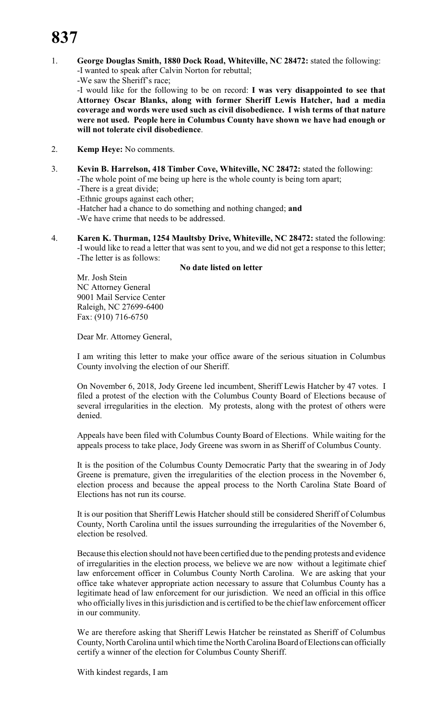1. **George Douglas Smith, 1880 Dock Road, Whiteville, NC 28472:** stated the following: -I wanted to speak after Calvin Norton for rebuttal; -We saw the Sheriff's race;

-I would like for the following to be on record: **I was very disappointed to see that Attorney Oscar Blanks, along with former Sheriff Lewis Hatcher, had a media coverage and words were used such as civil disobedience. I wish terms of that nature were not used. People here in Columbus County have shown we have had enough or will not tolerate civil disobedience**.

- 2. **Kemp Heye:** No comments.
- 3. **Kevin B. Harrelson, 418 Timber Cove, Whiteville, NC 28472:** stated the following: -The whole point of me being up here is the whole county is being torn apart;
	- -There is a great divide;
	- -Ethnic groups against each other;
	- -Hatcher had a chance to do something and nothing changed; **and**
	- -We have crime that needs to be addressed.
- 4. **Karen K. Thurman, 1254 Maultsby Drive, Whiteville, NC 28472:** stated the following: -I would like to read a letter that was sent to you, and we did not get a response to this letter; -The letter is as follows:

# **No date listed on letter**

Mr. Josh Stein NC Attorney General 9001 Mail Service Center Raleigh, NC 27699-6400 Fax: (910) 716-6750

Dear Mr. Attorney General,

I am writing this letter to make your office aware of the serious situation in Columbus County involving the election of our Sheriff.

On November 6, 2018, Jody Greene led incumbent, Sheriff Lewis Hatcher by 47 votes. I filed a protest of the election with the Columbus County Board of Elections because of several irregularities in the election. My protests, along with the protest of others were denied.

Appeals have been filed with Columbus County Board of Elections. While waiting for the appeals process to take place, Jody Greene was sworn in as Sheriff of Columbus County.

It is the position of the Columbus County Democratic Party that the swearing in of Jody Greene is premature, given the irregularities of the election process in the November 6, election process and because the appeal process to the North Carolina State Board of Elections has not run its course.

It is our position that Sheriff Lewis Hatcher should still be considered Sheriff of Columbus County, North Carolina until the issues surrounding the irregularities of the November 6, election be resolved.

Because this election should not have been certified due to the pending protests and evidence of irregularities in the election process, we believe we are now without a legitimate chief law enforcement officer in Columbus County North Carolina. We are asking that your office take whatever appropriate action necessary to assure that Columbus County has a legitimate head of law enforcement for our jurisdiction. We need an official in this office who officially lives in this jurisdiction and is certified to be the chief law enforcement officer in our community.

We are therefore asking that Sheriff Lewis Hatcher be reinstated as Sheriff of Columbus County, North Carolina until which time the North Carolina Board of Elections can officially certify a winner of the election for Columbus County Sheriff.

With kindest regards, I am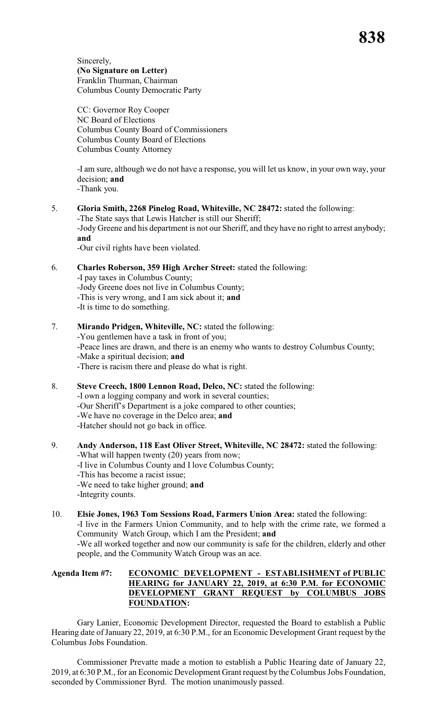Sincerely, **(No Signature on Letter)** Franklin Thurman, Chairman Columbus County Democratic Party

CC: Governor Roy Cooper NC Board of Elections Columbus County Board of Commissioners Columbus County Board of Elections Columbus County Attorney

-I am sure, although we do not have a response, you will let us know, in your own way, your decision; **and**

-Thank you.

5. **Gloria Smith, 2268 Pinelog Road, Whiteville, NC 28472:** stated the following: -The State says that Lewis Hatcher is still our Sheriff; -Jody Greene and his department is not our Sheriff, and they have no right to arrest anybody; **and**

-Our civil rights have been violated.

6. **Charles Roberson, 359 High Archer Street:** stated the following:

-I pay taxes in Columbus County; -Jody Greene does not live in Columbus County; -This is very wrong, and I am sick about it; **and** -It is time to do something.

- 7. **Mirando Pridgen, Whiteville, NC:** stated the following: -You gentlemen have a task in front of you; -Peace lines are drawn, and there is an enemy who wants to destroy Columbus County; -Make a spiritual decision; **and** -There is racism there and please do what is right.
- 8. **Steve Creech, 1800 Lennon Road, Delco, NC:** stated the following: -I own a logging company and work in several counties; -Our Sheriff's Department is a joke compared to other counties; -We have no coverage in the Delco area; **and** -Hatcher should not go back in office.
- 9. **Andy Anderson, 118 East Oliver Street, Whiteville, NC 28472:** stated the following: -What will happen twenty (20) years from now; -I live in Columbus County and I love Columbus County; -This has become a racist issue; -We need to take higher ground; **and** -Integrity counts.
- 10. **Elsie Jones, 1963 Tom Sessions Road, Farmers Union Area:** stated the following: -I live in the Farmers Union Community, and to help with the crime rate, we formed a Community Watch Group, which I am the President; **and** -We all worked together and now our community is safe for the children, elderly and other people, and the Community Watch Group was an ace.

# **Agenda Item #7: ECONOMIC DEVELOPMENT - ESTABLISHMENT of PUBLIC HEARING for JANUARY 22, 2019, at 6:30 P.M. for ECONOMIC DEVELOPMENT GRANT REQUEST by COLUMBUS JOBS FOUNDATION:**

Gary Lanier, Economic Development Director, requested the Board to establish a Public Hearing date ofJanuary 22, 2019, at 6:30 P.M., for an Economic Development Grant request by the Columbus Jobs Foundation.

Commissioner Prevatte made a motion to establish a Public Hearing date of January 22, 2019, at 6:30 P.M., for an Economic Development Grant request by the Columbus Jobs Foundation, seconded by Commissioner Byrd. The motion unanimously passed.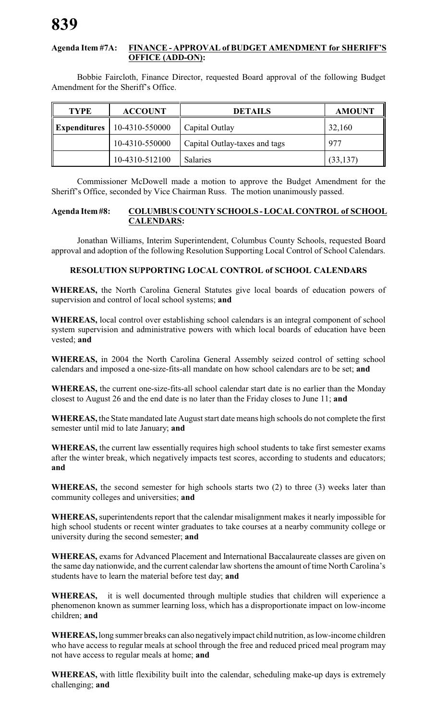## **Agenda Item #7A: FINANCE - APPROVAL of BUDGET AMENDMENT for SHERIFF'S OFFICE (ADD-ON):**

Bobbie Faircloth, Finance Director, requested Board approval of the following Budget Amendment for the Sheriff's Office.

| <b>TYPE</b>  | <b>ACCOUNT</b>   | <b>DETAILS</b>                | <b>AMOUNT</b> |
|--------------|------------------|-------------------------------|---------------|
| Expenditures | $10-4310-550000$ | Capital Outlay                | 32,160        |
|              | 10-4310-550000   | Capital Outlay-taxes and tags | 977           |
|              | 10-4310-512100   | <b>Salaries</b>               | (33, 137)     |

Commissioner McDowell made a motion to approve the Budget Amendment for the Sheriff's Office, seconded by Vice Chairman Russ. The motion unanimously passed.

#### **Agenda Item #8: COLUMBUS COUNTY SCHOOLS - LOCAL CONTROL of SCHOOL CALENDARS:**

Jonathan Williams, Interim Superintendent, Columbus County Schools, requested Board approval and adoption of the following Resolution Supporting Local Control of School Calendars.

# **RESOLUTION SUPPORTING LOCAL CONTROL of SCHOOL CALENDARS**

**WHEREAS,** the North Carolina General Statutes give local boards of education powers of supervision and control of local school systems; **and**

**WHEREAS,** local control over establishing school calendars is an integral component of school system supervision and administrative powers with which local boards of education have been vested; **and**

**WHEREAS,** in 2004 the North Carolina General Assembly seized control of setting school calendars and imposed a one-size-fits-all mandate on how school calendars are to be set; **and**

**WHEREAS,** the current one-size-fits-all school calendar start date is no earlier than the Monday closest to August 26 and the end date is no later than the Friday closes to June 11; **and**

**WHEREAS,** the State mandated late August start date means high schools do not complete the first semester until mid to late January; **and**

**WHEREAS,** the current law essentially requires high school students to take first semester exams after the winter break, which negatively impacts test scores, according to students and educators; **and**

**WHEREAS,** the second semester for high schools starts two (2) to three (3) weeks later than community colleges and universities; **and**

**WHEREAS,** superintendents report that the calendar misalignment makes it nearly impossible for high school students or recent winter graduates to take courses at a nearby community college or university during the second semester; **and**

**WHEREAS,** exams for Advanced Placement and International Baccalaureate classes are given on the same day nationwide, and the current calendar law shortens the amount of time North Carolina's students have to learn the material before test day; **and**

**WHEREAS,** it is well documented through multiple studies that children will experience a phenomenon known as summer learning loss, which has a disproportionate impact on low-income children; **and**

**WHEREAS,** long summer breaks can also negatively impact child nutrition, as low-income children who have access to regular meals at school through the free and reduced priced meal program may not have access to regular meals at home; **and**

**WHEREAS,** with little flexibility built into the calendar, scheduling make-up days is extremely challenging; **and**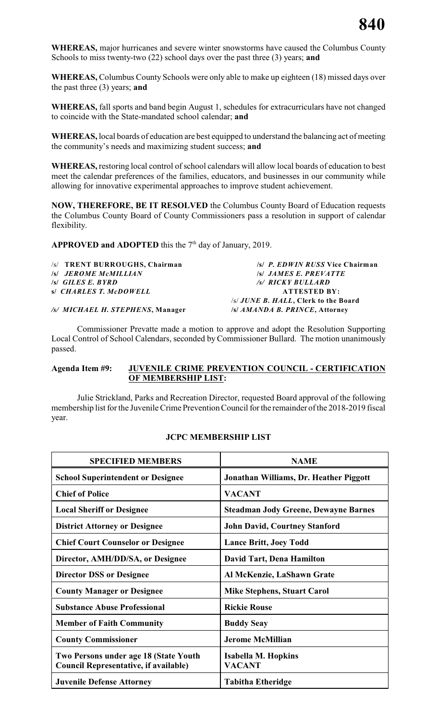**WHEREAS,** major hurricanes and severe winter snowstorms have caused the Columbus County Schools to miss twenty-two (22) school days over the past three (3) years; **and**

**WHEREAS,** Columbus County Schools were only able to make up eighteen (18) missed days over the past three (3) years; **and**

**WHEREAS,** fall sports and band begin August 1, schedules for extracurriculars have not changed to coincide with the State-mandated school calendar; **and**

**WHEREAS,** local boards of education are best equipped to understand the balancing act of meeting the community's needs and maximizing student success; **and**

**WHEREAS,** restoring local control of school calendars will allow local boards of education to best meet the calendar preferences of the families, educators, and businesses in our community while allowing for innovative experimental approaches to improve student achievement.

**NOW, THEREFORE, BE IT RESOLVED** the Columbus County Board of Education requests the Columbus County Board of County Commissioners pass a resolution in support of calendar flexibility.

**APPROVED and ADOPTED** this the  $7<sup>th</sup>$  day of January, 2019.

| /s/ TRENT BURROUGHS, Chairman    | /s/ P. EDWIN RUSS Vice Chairman      |
|----------------------------------|--------------------------------------|
| <b>S JEROME McMILLIAN</b>        | <b>S JAMES E. PREVATTE</b>           |
| $\mathcal{S}$ GILES E. BYRD      | /s/ RICKY BULLARD                    |
| s/ CHARLES T. McDOWELL           | <b>ATTESTED BY:</b>                  |
|                                  | /s/ JUNE B. HALL, Clerk to the Board |
| /s/ MICHAEL H. STEPHENS, Manager | /s/ AMANDA B. PRINCE, Attorney       |

Commissioner Prevatte made a motion to approve and adopt the Resolution Supporting Local Control of School Calendars, seconded by Commissioner Bullard. The motion unanimously passed.

#### **Agenda Item #9: JUVENILE CRIME PREVENTION COUNCIL - CERTIFICATION OF MEMBERSHIP LIST:**

Julie Strickland, Parks and Recreation Director, requested Board approval of the following membership list for the Juvenile Crime Prevention Council for the remainder of the 2018-2019 fiscal year.

### **JCPC MEMBERSHIP LIST**

| <b>SPECIFIED MEMBERS</b>                                                              | <b>NAME</b>                                 |
|---------------------------------------------------------------------------------------|---------------------------------------------|
| <b>School Superintendent or Designee</b>                                              | Jonathan Williams, Dr. Heather Piggott      |
| <b>Chief of Police</b>                                                                | <b>VACANT</b>                               |
| <b>Local Sheriff or Designee</b>                                                      | <b>Steadman Jody Greene, Dewayne Barnes</b> |
| <b>District Attorney or Designee</b>                                                  | <b>John David, Courtney Stanford</b>        |
| <b>Chief Court Counselor or Designee</b>                                              | <b>Lance Britt, Joey Todd</b>               |
| Director, AMH/DD/SA, or Designee                                                      | David Tart, Dena Hamilton                   |
| <b>Director DSS or Designee</b>                                                       | Al McKenzie, LaShawn Grate                  |
| <b>County Manager or Designee</b>                                                     | <b>Mike Stephens, Stuart Carol</b>          |
| <b>Substance Abuse Professional</b>                                                   | <b>Rickie Rouse</b>                         |
| <b>Member of Faith Community</b>                                                      | <b>Buddy Seay</b>                           |
| <b>County Commissioner</b>                                                            | <b>Jerome McMillian</b>                     |
| Two Persons under age 18 (State Youth<br><b>Council Representative, if available)</b> | Isabella M. Hopkins<br><b>VACANT</b>        |
| <b>Juvenile Defense Attorney</b>                                                      | <b>Tabitha Etheridge</b>                    |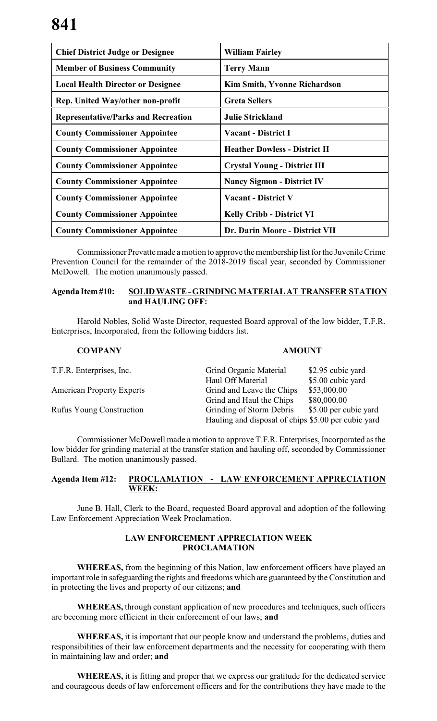| <b>Chief District Judge or Designee</b>    | <b>William Fairley</b>               |
|--------------------------------------------|--------------------------------------|
| <b>Member of Business Community</b>        | <b>Terry Mann</b>                    |
| <b>Local Health Director or Designee</b>   | <b>Kim Smith, Yvonne Richardson</b>  |
| Rep. United Way/other non-profit           | <b>Greta Sellers</b>                 |
| <b>Representative/Parks and Recreation</b> | <b>Julie Strickland</b>              |
| <b>County Commissioner Appointee</b>       | <b>Vacant - District I</b>           |
| <b>County Commissioner Appointee</b>       | <b>Heather Dowless - District II</b> |
| <b>County Commissioner Appointee</b>       | <b>Crystal Young - District III</b>  |
| <b>County Commissioner Appointee</b>       | <b>Nancy Sigmon - District IV</b>    |
| <b>County Commissioner Appointee</b>       | <b>Vacant - District V</b>           |
| <b>County Commissioner Appointee</b>       | <b>Kelly Cribb - District VI</b>     |
| <b>County Commissioner Appointee</b>       | Dr. Darin Moore - District VII       |

Commissioner Prevatte made a motion to approve the membership list for the Juvenile Crime Prevention Council for the remainder of the 2018-2019 fiscal year, seconded by Commissioner McDowell. The motion unanimously passed.

## **Agenda Item #10: SOLID WASTE - GRINDING MATERIAL AT TRANSFER STATION and HAULING OFF:**

Harold Nobles, Solid Waste Director, requested Board approval of the low bidder, T.F.R. Enterprises, Incorporated, from the following bidders list.

| <b>COMPANY</b>                   | <b>AMOUNT</b>                                       |                       |  |  |
|----------------------------------|-----------------------------------------------------|-----------------------|--|--|
| T.F.R. Enterprises, Inc.         | Grind Organic Material                              | \$2.95 cubic yard     |  |  |
|                                  | Haul Off Material                                   | \$5.00 cubic yard     |  |  |
| <b>American Property Experts</b> | Grind and Leave the Chips                           | \$53,000.00           |  |  |
|                                  | Grind and Haul the Chips                            | \$80,000.00           |  |  |
| <b>Rufus Young Construction</b>  | Grinding of Storm Debris                            | \$5.00 per cubic yard |  |  |
|                                  | Hauling and disposal of chips \$5.00 per cubic yard |                       |  |  |

Commissioner McDowell made a motion to approve T.F.R. Enterprises, Incorporated as the low bidder for grinding material at the transfer station and hauling off, seconded by Commissioner Bullard. The motion unanimously passed.

# **Agenda Item #12: PROCLAMATION - LAW ENFORCEMENT APPRECIATION WEEK:**

June B. Hall, Clerk to the Board, requested Board approval and adoption of the following Law Enforcement Appreciation Week Proclamation.

# **LAW ENFORCEMENT APPRECIATION WEEK PROCLAMATION**

**WHEREAS,** from the beginning of this Nation, law enforcement officers have played an important role in safeguarding the rights and freedoms which are guaranteed by the Constitution and in protecting the lives and property of our citizens; **and**

**WHEREAS,** through constant application of new procedures and techniques, such officers are becoming more efficient in their enforcement of our laws; **and**

**WHEREAS,** it is important that our people know and understand the problems, duties and responsibilities of their law enforcement departments and the necessity for cooperating with them in maintaining law and order; **and**

**WHEREAS,** it is fitting and proper that we express our gratitude for the dedicated service and courageous deeds of law enforcement officers and for the contributions they have made to the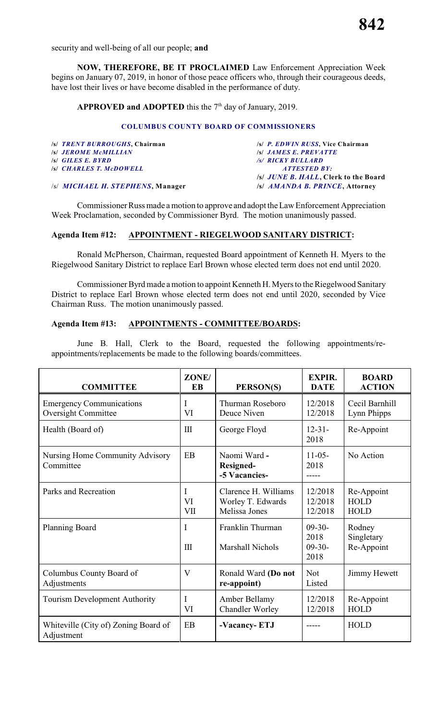security and well-being of all our people; **and**

**NOW, THEREFORE, BE IT PROCLAIMED** Law Enforcement Appreciation Week begins on January 07, 2019, in honor of those peace officers who, through their courageous deeds, have lost their lives or have become disabled in the performance of duty.

# **APPROVED and ADOPTED** this the  $7<sup>th</sup>$  day of January, 2019.

### **COLUMBUS COUNTY BOARD OF COMMISSIONERS**

| /s/ TRENT BURROUGHS, Chairman            | /s/ P. EDWIN RUSS, Vice Chairman           |
|------------------------------------------|--------------------------------------------|
| <b>S JEROME MCMILLIAN</b>                | <b>SSI JAMES E. PREVATTE</b>               |
| $\mathcal{S}$ GILES E. BYRD              | /s/ RICKY BULLARD                          |
| <b>SSI CHARLES T. McDOWELL</b>           | <i>ATTESTED BY:</i>                        |
|                                          | <i>s JUNE B. HALL</i> , Clerk to the Board |
| /s/ <i>MICHAEL H. STEPHENS</i> . Manager | /s/ <i>AMANDA B. PRINCE</i> , Attorney     |

Commissioner Russ made a motion to approve and adopt the Law Enforcement Appreciation Week Proclamation, seconded by Commissioner Byrd. The motion unanimously passed.

### **Agenda Item #12: APPOINTMENT - RIEGELWOOD SANITARY DISTRICT:**

Ronald McPherson, Chairman, requested Board appointment of Kenneth H. Myers to the Riegelwood Sanitary District to replace Earl Brown whose elected term does not end until 2020.

Commissioner Byrd made a motion to appoint Kenneth H. Myers to the Riegelwood Sanitary District to replace Earl Brown whose elected term does not end until 2020, seconded by Vice Chairman Russ. The motion unanimously passed.

## **Agenda Item #13: APPOINTMENTS - COMMITTEE/BOARDS:**

June B. Hall, Clerk to the Board, requested the following appointments/reappointments/replacements be made to the following boards/committees.

| <b>COMMITTEE</b>                                              | ZONE/<br><b>EB</b>      | PERSON(S)                                                  | <b>EXPIR.</b><br><b>DATE</b>         | <b>BOARD</b><br><b>ACTION</b>            |
|---------------------------------------------------------------|-------------------------|------------------------------------------------------------|--------------------------------------|------------------------------------------|
| <b>Emergency Communications</b><br><b>Oversight Committee</b> | I<br>VI                 | Thurman Roseboro<br>Deuce Niven                            | 12/2018<br>12/2018                   | Cecil Barnhill<br>Lynn Phipps            |
| Health (Board of)                                             | III                     | George Floyd                                               | $12 - 31 -$<br>2018                  | Re-Appoint                               |
| Nursing Home Community Advisory<br>Committee                  | EB                      | Naomi Ward -<br><b>Resigned-</b><br>-5 Vacancies-          | $11-05-$<br>2018<br>-----            | No Action                                |
| Parks and Recreation                                          | I<br>VI<br>VII          | Clarence H. Williams<br>Worley T. Edwards<br>Melissa Jones | 12/2018<br>12/2018<br>12/2018        | Re-Appoint<br><b>HOLD</b><br><b>HOLD</b> |
| Planning Board                                                | I<br>III                | Franklin Thurman<br>Marshall Nichols                       | $09-30-$<br>2018<br>$09-30-$<br>2018 | Rodney<br>Singletary<br>Re-Appoint       |
| Columbus County Board of<br>Adjustments                       | $\overline{\mathsf{V}}$ | Ronald Ward (Do not<br>re-appoint)                         | <b>Not</b><br>Listed                 | Jimmy Hewett                             |
| <b>Tourism Development Authority</b>                          | T<br>VI                 | Amber Bellamy<br><b>Chandler Worley</b>                    | 12/2018<br>12/2018                   | Re-Appoint<br><b>HOLD</b>                |
| Whiteville (City of) Zoning Board of<br>Adjustment            | EB                      | -Vacancy-ETJ                                               |                                      | <b>HOLD</b>                              |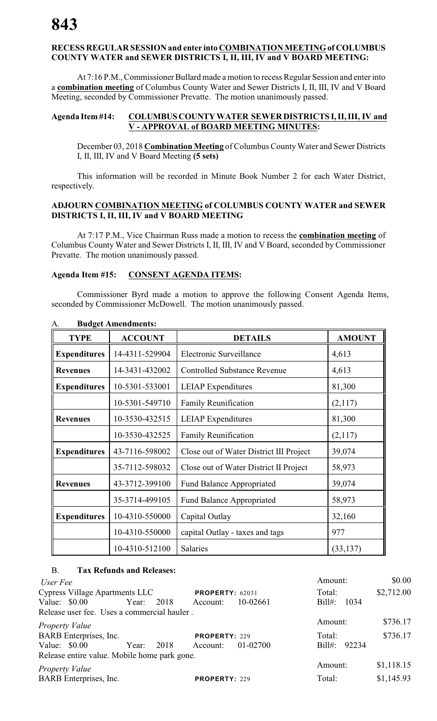# **RECESS REGULAR SESSION and enter into COMBINATION MEETING of COLUMBUS COUNTY WATER and SEWER DISTRICTS I, II, III, IV and V BOARD MEETING:**

At 7:16 P.M., Commissioner Bullard made a motion to recess Regular Session and enter into a **combination meeting** of Columbus County Water and Sewer Districts I, II, III, IV and V Board Meeting, seconded by Commissioner Prevatte. The motion unanimously passed.

# **Agenda Item #14: COLUMBUS COUNTY WATER SEWER DISTRICTS I, II, III, IV and V - APPROVAL of BOARD MEETING MINUTES:**

December 03, 2018 **Combination Meeting** of Columbus County Water and Sewer Districts I, II, III, IV and V Board Meeting **(5 sets)**

This information will be recorded in Minute Book Number 2 for each Water District, respectively.

## **ADJOURN COMBINATION MEETING of COLUMBUS COUNTY WATER and SEWER DISTRICTS I, II, III, IV and V BOARD MEETING**

At 7:17 P.M., Vice Chairman Russ made a motion to recess the **combination meeting** of Columbus County Water and Sewer Districts I, II, III, IV and V Board, seconded by Commissioner Prevatte. The motion unanimously passed.

### **Agenda Item #15: CONSENT AGENDA ITEMS:**

Commissioner Byrd made a motion to approve the following Consent Agenda Items, seconded by Commissioner McDowell. The motion unanimously passed.

| <b>TYPE</b>         | <b>ACCOUNT</b> | <b>DETAILS</b>                          | <b>AMOUNT</b> |
|---------------------|----------------|-----------------------------------------|---------------|
| <b>Expenditures</b> | 14-4311-529904 | Electronic Surveillance                 | 4,613         |
| <b>Revenues</b>     | 14-3431-432002 | <b>Controlled Substance Revenue</b>     | 4,613         |
| <b>Expenditures</b> | 10-5301-533001 | <b>LEIAP</b> Expenditures               | 81,300        |
|                     | 10-5301-549710 | <b>Family Reunification</b>             | (2,117)       |
| <b>Revenues</b>     | 10-3530-432515 | <b>LEIAP</b> Expenditures               | 81,300        |
|                     | 10-3530-432525 | <b>Family Reunification</b>             | (2,117)       |
| <b>Expenditures</b> | 43-7116-598002 | Close out of Water District III Project | 39,074        |
|                     | 35-7112-598032 | Close out of Water District II Project  | 58,973        |
| <b>Revenues</b>     | 43-3712-399100 | Fund Balance Appropriated               | 39,074        |
|                     | 35-3714-499105 | <b>Fund Balance Appropriated</b>        | 58,973        |
| <b>Expenditures</b> | 10-4310-550000 | Capital Outlay                          | 32,160        |
|                     | 10-4310-550000 | capital Outlay - taxes and tags         | 977           |
|                     | 10-4310-512100 | Salaries                                | (33, 137)     |

### A. **Budget Amendments:**

### B. **Tax Refunds and Releases:**

| \$0.00       |
|--------------|
| \$2,712.00   |
| Bill#: 1034  |
|              |
| \$736.17     |
| \$736.17     |
| Bill#: 92234 |
|              |
| \$1,118.15   |
| \$1,145.93   |
|              |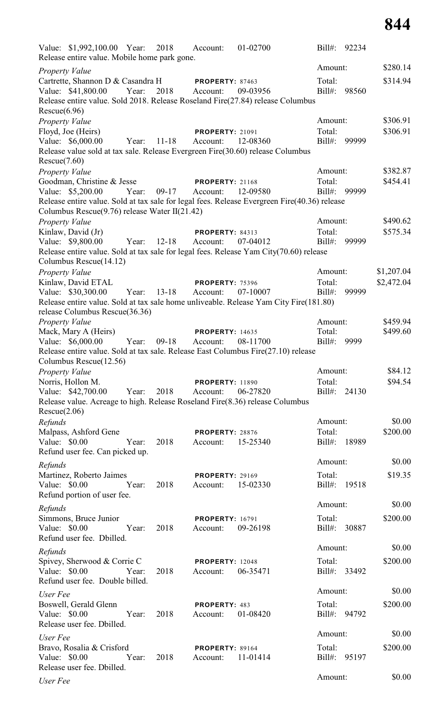| Value: \$1,992,100.00 Year: 2018 Account:<br>01-02700                                                            | 92234<br>$Bill#$ :                 |
|------------------------------------------------------------------------------------------------------------------|------------------------------------|
| Release entire value. Mobile home park gone.                                                                     | \$280.14<br>Amount:                |
| Property Value<br>Cartrette, Shannon D & Casandra H<br>PROPERTY: 87463                                           | \$314.94<br>Total:                 |
| Value: \$41,800.00<br>Year:<br>2018<br>09-03956<br>Account:                                                      | Bill#: 98560                       |
| Release entire value. Sold 2018. Release Roseland Fire(27.84) release Columbus                                   |                                    |
| Rescue(6.96)                                                                                                     |                                    |
| Property Value                                                                                                   | Amount:<br>\$306.91                |
| Floyd, Joe (Heirs)<br><b>PROPERTY: 21091</b>                                                                     | \$306.91<br>Total:                 |
| Value: \$6,000.00<br>$11 - 18$<br>Year:<br>Account:<br>12-08360                                                  | Bill#: 99999                       |
| Release value sold at tax sale. Release Evergreen Fire(30.60) release Columbus<br>Rescue(7.60)                   |                                    |
| Property Value                                                                                                   | Amount:<br>\$382.87                |
| Goodman, Christine & Jesse<br><b>PROPERTY: 21168</b>                                                             | \$454.41<br>Total:                 |
| Value: \$5,200.00<br>Year:<br>$09-17$<br>Account:<br>12-09580                                                    | Bill#: 99999                       |
| Release entire value. Sold at tax sale for legal fees. Release Evergreen Fire(40.36) release                     |                                    |
| Columbus Rescue $(9.76)$ release Water II $(21.42)$                                                              |                                    |
| Property Value                                                                                                   | \$490.62<br>Amount:                |
| Kinlaw, David (Jr)<br>PROPERTY: 84313                                                                            | \$575.34<br>Total:                 |
| Value: \$9,800.00<br>Year:<br>$12 - 18$<br>07-04012<br>Account:                                                  | Bill#:<br>99999                    |
| Release entire value. Sold at tax sale for legal fees. Release Yam City(70.60) release<br>Columbus Rescue(14.12) |                                    |
| Property Value                                                                                                   | Amount:<br>\$1,207.04              |
| Kinlaw, David ETAL<br><b>PROPERTY: 75396</b>                                                                     | Total:<br>\$2,472.04               |
| Value: \$30,300.00<br>Year: 13-18<br>Account:<br>07-10007                                                        | $Bill#$ :<br>99999                 |
| Release entire value. Sold at tax sale home unliveable. Release Yam City Fire(181.80)                            |                                    |
| release Columbus Rescue(36.36)                                                                                   |                                    |
| Property Value                                                                                                   | \$459.94<br>Amount:                |
| Mack, Mary A (Heirs)<br><b>PROPERTY: 14635</b>                                                                   | \$499.60<br>Total:                 |
| Value: \$6,000.00<br>Year:<br>$09-18$<br>08-11700<br>Account:                                                    | $Bill#$ :<br>9999                  |
| Release entire value. Sold at tax sale. Release East Columbus Fire(27.10) release<br>Columbus Rescue(12.56)      |                                    |
| Property Value                                                                                                   | \$84.12<br>Amount:                 |
| Norris, Hollon M.<br><b>PROPERTY: 11890</b>                                                                      | Total:<br>\$94.54                  |
| Value: \$42,700.00<br>Year:<br>2018<br>06-27820<br>Account:                                                      | Bill#: 24130                       |
| Release value. Acreage to high. Release Roseland Fire(8.36) release Columbus                                     |                                    |
| Rescue(2.06)                                                                                                     |                                    |
| Refunds                                                                                                          | \$0.00<br>Amount:                  |
| Malpass, Ashford Gene<br>PROPERTY: 28876                                                                         | \$200.00<br>Total:                 |
| Value: \$0.00<br>Year:<br>2018<br>15-25340<br>Account:                                                           | Bill#:<br>18989                    |
| Refund user fee. Can picked up.                                                                                  |                                    |
| Refunds                                                                                                          | \$0.00<br>Amount:                  |
| Martinez, Roberto Jaimes<br><b>PROPERTY: 29169</b>                                                               | \$19.35<br>Total:                  |
| Value: \$0.00<br>Year:<br>2018<br>15-02330<br>Account:                                                           | $Bill#$ :<br>19518                 |
| Refund portion of user fee.                                                                                      | \$0.00<br>Amount:                  |
| Refunds                                                                                                          |                                    |
| Simmons, Bruce Junior<br><b>PROPERTY: 16791</b>                                                                  | \$200.00<br>Total:                 |
| Value: \$0.00<br>2018<br>Year:<br>09-26198<br>Account:<br>Refund user fee. Dbilled.                              | Bill#:<br>30887                    |
|                                                                                                                  | Amount:<br>\$0.00                  |
| Refunds                                                                                                          |                                    |
| Spivey, Sherwood & Corrie C<br><b>PROPERTY: 12048</b><br>Value: \$0.00<br>2018<br>Year:<br>06-35471<br>Account:  | \$200.00<br>Total:<br>Bill#: 33492 |
| Refund user fee. Double billed.                                                                                  |                                    |
|                                                                                                                  | Amount:<br>\$0.00                  |
| User Fee<br>Boswell, Gerald Glenn<br>PROPERTY: 483                                                               | \$200.00<br>Total:                 |
| 2018<br>Value: \$0.00<br>Year:<br>01-08420<br>Account:                                                           | Bill#: 94792                       |
| Release user fee. Dbilled.                                                                                       |                                    |
| User Fee                                                                                                         | Amount:<br>\$0.00                  |
| Bravo, Rosalia & Crisford<br>PROPERTY: 89164                                                                     | \$200.00<br>Total:                 |
| 2018<br>Value: \$0.00<br>Year:<br>11-01414<br>Account:                                                           | Bill#: 95197                       |
| Release user fee. Dbilled.                                                                                       |                                    |
| User Fee                                                                                                         | Amount:<br>\$0.00                  |
|                                                                                                                  |                                    |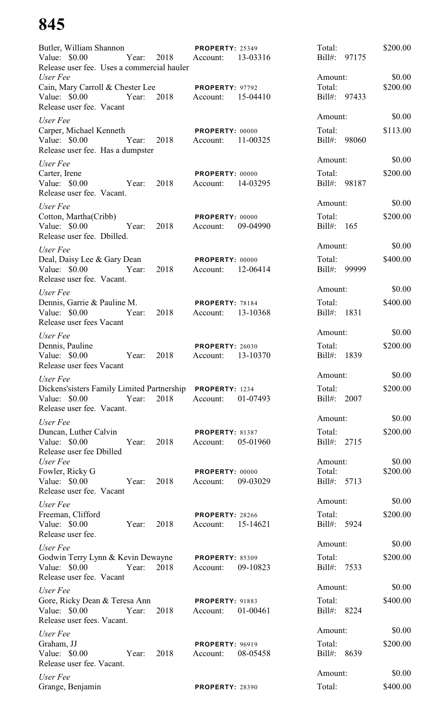| Butler, William Shannon<br>Value: \$0.00<br>Year:<br>Release user fee. Uses a commercial hauler                  | <b>PROPERTY: 25349</b><br>2018<br>Account:<br>13-03316 | Total:<br>$Bill#$ :              | \$200.00<br>97175  |
|------------------------------------------------------------------------------------------------------------------|--------------------------------------------------------|----------------------------------|--------------------|
| User Fee<br>Cain, Mary Carroll & Chester Lee                                                                     | PROPERTY: 97792                                        | Amount:<br>Total:                | \$0.00<br>\$200.00 |
| Value: $$0.00$<br>Year:<br>Release user fee. Vacant                                                              | 2018<br>15-04410<br>Account:                           | Bill#: 97433                     |                    |
| User Fee                                                                                                         |                                                        | Amount:                          | \$0.00             |
| Carper, Michael Kenneth<br>Value: \$0.00<br>Year:<br>Release user fee. Has a dumpster                            | PROPERTY: 00000<br>2018<br>11-00325<br>Account:        | Total:<br>Bill#: 98060           | \$113.00           |
| User Fee                                                                                                         |                                                        | Amount:                          | \$0.00             |
| Carter, Irene<br>Value: \$0.00<br>Year:<br>Release user fee. Vacant.                                             | PROPERTY: 00000<br>2018<br>14-03295<br>Account:        | Total:<br>Bill#: 98187           | \$200.00           |
| User Fee                                                                                                         |                                                        | Amount:                          | \$0.00             |
| Cotton, Martha(Cribb)<br>Value: \$0.00<br>Year:<br>Release user fee. Dbilled.                                    | PROPERTY: 00000<br>2018<br>09-04990<br>Account:        | Total:<br>Bill#:<br>165          | \$200.00           |
| User Fee                                                                                                         |                                                        | Amount:                          | \$0.00             |
| Deal, Daisy Lee & Gary Dean<br>Value: \$0.00<br>Year:<br>Release user fee. Vacant.                               | PROPERTY: 00000<br>2018<br>12-06414<br>Account:        | Total:<br>Bill#:                 | \$400.00<br>99999  |
| User Fee                                                                                                         |                                                        | Amount:                          | \$0.00             |
| Dennis, Garrie & Pauline M.<br>Value: \$0.00<br>Year:<br>Release user fees Vacant                                | PROPERTY: 78184<br>2018<br>13-10368<br>Account:        | Total:<br>$Bill#$ :              | \$400.00<br>1831   |
| User Fee                                                                                                         |                                                        | Amount:                          | \$0.00             |
| Dennis, Pauline<br>Value: \$0.00<br>Year:<br>Release user fees Vacant                                            | <b>PROPERTY: 26030</b><br>2018<br>13-10370<br>Account: | Total:<br>$Bill#$ :              | \$200.00<br>1839   |
| User Fee                                                                                                         |                                                        | Amount:                          | \$0.00             |
| Dickens'sisters Family Limited Partnership PROPERTY: 1234<br>Value: \$0.00<br>Year:<br>Release user fee. Vacant. | 2018<br>Account:<br>01-07493                           | Total:<br>Bill#: 2007            | \$200.00           |
| User Fee                                                                                                         |                                                        | Amount:                          | \$0.00             |
| Duncan, Luther Calvin<br>Value: \$0.00<br>Year:                                                                  | <b>PROPERTY: 81387</b>                                 | Total:                           | \$200.00           |
| Release user fee Dbilled                                                                                         | 2018<br>05-01960<br>Account:                           | Bill#: 2715                      |                    |
| User Fee<br>Fowler, Ricky G<br>Value: \$0.00<br>Year:                                                            | PROPERTY: 00000<br>2018<br>09-03029<br>Account:        | Amount:<br>Total:<br>Bill#: 5713 | \$0.00<br>\$200.00 |
| Release user fee. Vacant                                                                                         |                                                        | Amount:                          | \$0.00             |
| User Fee<br>Freeman, Clifford<br>Value: \$0.00<br>Year:<br>Release user fee.                                     | <b>PROPERTY: 28266</b><br>2018<br>15-14621<br>Account: | Total:<br>Bill#: 5924            | \$200.00           |
| User Fee                                                                                                         |                                                        | Amount:                          | \$0.00             |
| Godwin Terry Lynn & Kevin Dewayne PROPERTY: 85309<br>Year: 2018<br>Value: \$0.00<br>Release user fee. Vacant     | Account:<br>09-10823                                   | Total:<br>Bill#: 7533            | \$200.00           |
| User Fee                                                                                                         |                                                        | Amount:                          | \$0.00             |
| Gore, Ricky Dean & Teresa Ann<br>Value: \$0.00<br>Year:<br>Release user fees. Vacant.                            | <b>PROPERTY: 91883</b><br>2018<br>01-00461<br>Account: | Total:<br>Bill#: 8224            | \$400.00           |
| User Fee                                                                                                         |                                                        | Amount:                          | \$0.00             |
| Graham, JJ<br>Value: \$0.00<br>Year:<br>Release user fee. Vacant.                                                | <b>PROPERTY: 96919</b><br>2018<br>08-05458<br>Account: | Total:<br>Bill#: 8639            | \$200.00           |
| User Fee<br>Grange, Benjamin                                                                                     | <b>PROPERTY: 28390</b>                                 | Amount:<br>Total:                | \$0.00<br>\$400.00 |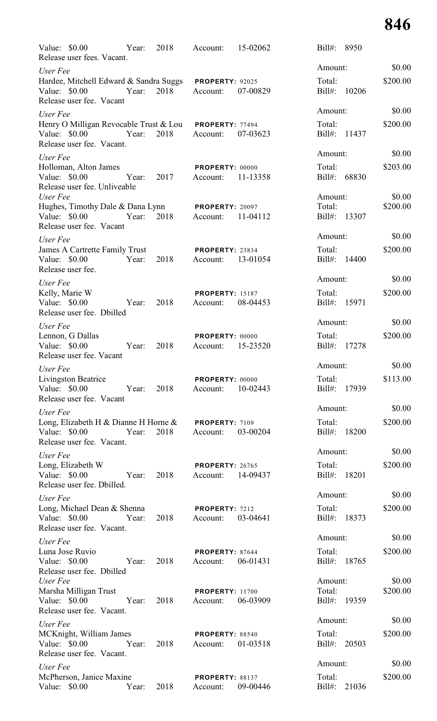| Value: $$0.00$<br>Release user fees. Vacant.                                                         | Year:      | 2018 | Account:                             | 15-02062 | $Bill#$ :<br>8950            |                    |
|------------------------------------------------------------------------------------------------------|------------|------|--------------------------------------|----------|------------------------------|--------------------|
| User Fee                                                                                             |            |      |                                      |          | Amount:                      | \$0.00             |
| Hardee, Mitchell Edward & Sandra Suggs<br>Value: \$0.00<br>Release user fee. Vacant                  | Year:      | 2018 | <b>PROPERTY: 92025</b><br>Account:   | 07-00829 | Total:<br>$Bill#$ :<br>10206 | \$200.00           |
| User Fee                                                                                             |            |      |                                      |          | Amount:                      | \$0.00             |
| Henry O Milligan Revocable Trust & Lou<br>Value: \$0.00<br>Release user fee. Vacant.                 | Year:      | 2018 | <b>PROPERTY: 77494</b><br>Account:   | 07-03623 | Total:<br>$Bill#$ :<br>11437 | \$200.00           |
| User Fee                                                                                             |            |      |                                      |          | Amount:                      | \$0.00             |
| Holloman, Alton James<br>Value: \$0.00<br>Release user fee. Unliveable                               | Year:      | 2017 | PROPERTY: 00000<br>Account:          | 11-13358 | Total:<br>Bill#:<br>68830    | \$203.00           |
| User Fee<br>Hughes, Timothy Dale & Dana Lynn                                                         |            |      | <b>PROPERTY: 20097</b>               |          | Amount:<br>Total:            | \$0.00<br>\$200.00 |
| Value: $$0.00$<br>Release user fee. Vacant                                                           | Year:      | 2018 | Account:                             | 11-04112 | Bill#: 13307                 |                    |
| User Fee                                                                                             |            |      |                                      |          | Amount:                      | \$0.00             |
| James A Cartrette Family Trust<br>Value: \$0.00<br>Release user fee.                                 | Year:      | 2018 | PROPERTY: 23834<br>Account:          | 13-01054 | Total:<br>Bill#:<br>14400    | \$200.00           |
| User Fee                                                                                             |            |      |                                      |          | Amount:                      | \$0.00             |
| Kelly, Marie W<br>Value: \$0.00<br>Release user fee. Dbilled                                         | Year:      | 2018 | <b>PROPERTY: 15187</b><br>Account:   | 08-04453 | Total:<br>Bill#: 15971       | \$200.00           |
| User Fee                                                                                             |            |      |                                      |          | Amount:                      | \$0.00             |
| Lennon, G Dallas<br>Value: \$0.00<br>Release user fee. Vacant                                        | Year:      | 2018 | PROPERTY: 00000<br>Account:          | 15-23520 | Total:<br>Bill#:<br>17278    | \$200.00           |
| User Fee                                                                                             |            |      |                                      |          | Amount:                      | \$0.00             |
| Livingston Beatrice<br>Value: \$0.00<br>Release user fee. Vacant                                     | Year: 2018 |      | PROPERTY: 00000<br>Account:          | 10-02443 | Total:<br>Bill#: 17939       | \$113.00           |
| User Fee                                                                                             |            |      |                                      |          | Amount:                      | \$0.00             |
| Long, Elizabeth H & Dianne H Horne $\&$ PROPERTY: 7109<br>Value: \$0.00<br>Release user fee. Vacant. | Year:      | 2018 | Account:                             | 03-00204 | Total:<br>Bill#: 18200       | \$200.00           |
| User Fee                                                                                             |            |      |                                      |          | Amount:                      | \$0.00             |
| Long, Elizabeth W<br>Value: \$0.00<br>Release user fee. Dbilled.                                     | Year:      | 2018 | PROPERTY: 26765<br>Account: 14-09437 |          | Total:<br>Bill#: 18201       | \$200.00           |
| User Fee                                                                                             |            |      |                                      |          | Amount:                      | \$0.00             |
| Long, Michael Dean & Shenna<br>Value: \$0.00<br>Release user fee. Vacant.                            | Year:      | 2018 | PROPERTY: 7212<br>Account:           | 03-04641 | Total:<br>Bill#: 18373       | \$200.00           |
| User Fee                                                                                             |            |      |                                      |          | Amount:                      | \$0.00             |
| Luna Jose Ruvio<br>Value: \$0.00<br>Release user fee. Dbilled                                        | Year:      | 2018 | PROPERTY: 87644<br>Account: 06-01431 |          | Total:<br>Bill#: 18765       | \$200.00           |
| User Fee                                                                                             |            |      |                                      |          | Amount:                      | \$0.00             |
| Marsha Milligan Trust<br>Value: \$0.00<br>Release user fee. Vacant.                                  | Year:      | 2018 | <b>PROPERTY: 11700</b><br>Account:   | 06-03909 | Total:<br>Bill#: 19359       | \$200.00           |
| User Fee                                                                                             |            |      |                                      |          | Amount:                      | \$0.00             |
| MCKnight, William James<br>Value: \$0.00<br>Release user fee. Vacant.                                | Year:      | 2018 | PROPERTY: 88540<br>Account:          | 01-03518 | Total:<br>Bill#: 20503       | \$200.00           |
| User Fee                                                                                             |            |      |                                      |          | Amount:                      | \$0.00             |
| McPherson, Janice Maxine<br>Value: \$0.00 Year: 2018                                                 |            |      | <b>PROPERTY: 88137</b><br>Account:   | 09-00446 | Total:<br>Bill#: 21036       | \$200.00           |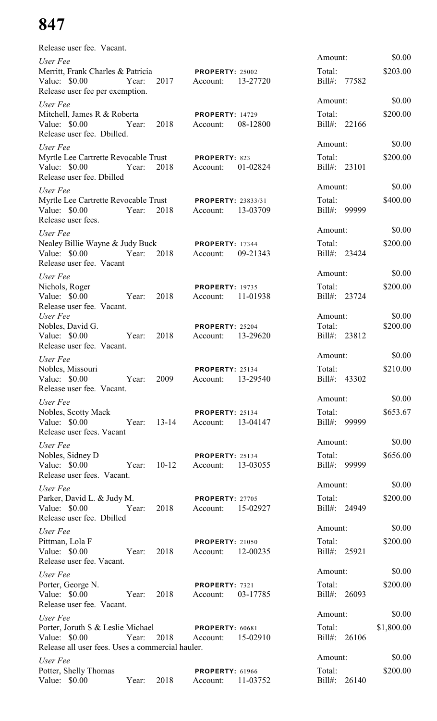| Release user fee. Vacant.                                                                                               |       |            |                                             |          |                        |              |            |
|-------------------------------------------------------------------------------------------------------------------------|-------|------------|---------------------------------------------|----------|------------------------|--------------|------------|
| User Fee                                                                                                                |       |            |                                             |          | Amount:                |              | \$0.00     |
| Merritt, Frank Charles & Patricia<br>Value: $$0.00$<br>Release user fee per exemption.                                  | Year: | 2017       | <b>PROPERTY: 25002</b><br>Account:          | 13-27720 | Total:<br>Bill#: 77582 |              | \$203.00   |
| User Fee                                                                                                                |       |            |                                             |          | Amount:                |              | \$0.00     |
| Mitchell, James R & Roberta<br>Value: \$0.00<br>Release user fee. Dbilled.                                              | Year: | 2018       | <b>PROPERTY: 14729</b><br>Account:          | 08-12800 | Total:<br>Bill#: 22166 |              | \$200.00   |
| User Fee                                                                                                                |       |            |                                             |          | Amount:                |              | \$0.00     |
| Myrtle Lee Cartrette Revocable Trust<br>Value: $$0.00$<br>Release user fee. Dbilled                                     | Year: | 2018       | PROPERTY: 823<br>Account:                   | 01-02824 | Total:<br>Bill#: 23101 |              | \$200.00   |
| User Fee                                                                                                                |       |            |                                             |          | Amount:                |              | \$0.00     |
| Myrtle Lee Cartrette Revocable Trust<br>Value: \$0.00<br>Release user fees.                                             | Year: | 2018       | <b>PROPERTY: 23833/31</b><br>Account:       | 13-03709 | Total:<br>$Bill#$ :    | 99999        | \$400.00   |
| User Fee                                                                                                                |       |            |                                             |          | Amount:                |              | \$0.00     |
| Nealey Billie Wayne & Judy Buck<br>Value: $$0.00$<br>Release user fee. Vacant                                           | Year: | 2018       | PROPERTY: 17344<br>Account:                 | 09-21343 | Total:<br>Bill#: 23424 |              | \$200.00   |
| User Fee                                                                                                                |       |            |                                             |          | Amount:                |              | \$0.00     |
| Nichols, Roger<br>Value: \$0.00<br>Release user fee. Vacant.                                                            | Year: | 2018       | <b>PROPERTY: 19735</b><br>Account:          | 11-01938 | Total:<br>Bill#: 23724 |              | \$200.00   |
| User Fee                                                                                                                |       |            |                                             |          | Amount:                |              | \$0.00     |
| Nobles, David G.<br>Value: $$0.00$<br>Release user fee. Vacant.                                                         | Year: | 2018       | PROPERTY: 25204<br>Account:                 | 13-29620 | Total:<br>Bill#: 23812 |              | \$200.00   |
| User Fee                                                                                                                |       |            |                                             |          | Amount:                |              | \$0.00     |
| Nobles, Missouri<br>Value: \$0.00 Year:<br>Release user fee. Vacant.                                                    |       | 2009       | <b>PROPERTY: 25134</b><br>Account: 13-29540 |          | Total:<br>Bill#: 43302 |              | \$210.00   |
| User Fee                                                                                                                |       |            |                                             |          | Amount:                |              | \$0.00     |
| Nobles, Scotty Mack<br>Value: \$0.00 Year:<br>Release user fees. Vacant                                                 |       | $13-14$    | <b>PROPERTY: 25134</b><br>Account:          | 13-04147 | Total:<br>Bill#: 99999 |              | \$653.67   |
| User Fee                                                                                                                |       |            |                                             |          | Amount:                |              | \$0.00     |
| Nobles, Sidney D<br>Value: \$0.00 Year:<br>Release user fees. Vacant.                                                   |       | $10 - 12$  | <b>PROPERTY: 25134</b><br>Account:          | 13-03055 | Total:<br>Bill#: 99999 |              | \$656.00   |
| User Fee                                                                                                                |       |            |                                             |          | Amount:                |              | \$0.00     |
| Parker, David L. & Judy M.<br>Value: \$0.00 Year:<br>Release user fee. Dbilled                                          |       | 2018       | <b>PROPERTY: 27705</b><br>Account:          | 15-02927 | Total:<br>Bill#: 24949 |              | \$200.00   |
| User Fee                                                                                                                |       |            |                                             |          | Amount:                |              | \$0.00     |
| Pittman, Lola F<br>Value: \$0.00 Year:<br>Release user fee. Vacant.                                                     |       | 2018       | <b>PROPERTY: 21050</b><br>Account: 12-00235 |          | Total:<br>Bill#: 25921 |              | \$200.00   |
| User Fee                                                                                                                |       |            |                                             |          | Amount:                |              | \$0.00     |
| Porter, George N.<br>Value: \$0.00<br>Year:<br>Release user fee. Vacant.                                                |       | 2018       | PROPERTY: 7321<br>Account:                  | 03-17785 | Total:<br>Bill#: 26093 |              | \$200.00   |
| User Fee                                                                                                                |       |            |                                             |          | Amount:                |              | \$0.00     |
| Porter, Joruth S & Leslie Michael PROPERTY: 60681<br>Value: $$0.00$<br>Release all user fees. Uses a commercial hauler. |       | Year: 2018 | Account:                                    | 15-02910 | Total:<br>Bill#: 26106 |              | \$1,800.00 |
| User Fee                                                                                                                |       |            |                                             |          | Amount:                |              | \$0.00     |
| Potter, Shelly Thomas<br>Value: \$0.00 Year: 2018                                                                       |       |            | <b>PROPERTY: 61966</b><br>Account: 11-03752 |          | Total:                 | Bill#: 26140 | \$200.00   |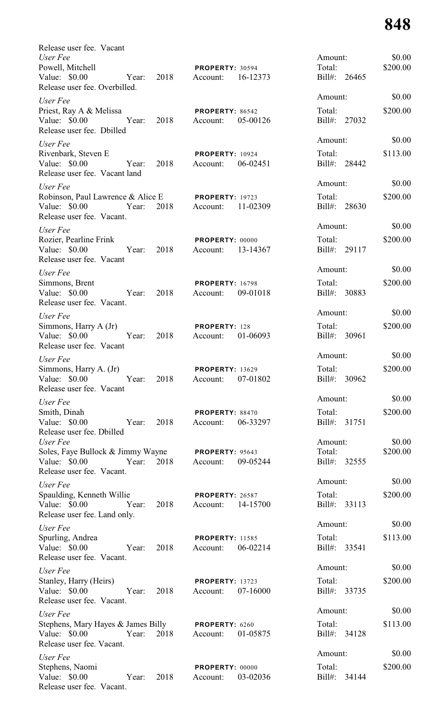| Release user fee. Vacant                                                                                      |                                                |                           |          |
|---------------------------------------------------------------------------------------------------------------|------------------------------------------------|---------------------------|----------|
| User Fee                                                                                                      |                                                | Amount:                   | \$0.00   |
| Powell, Mitchell<br>Year: 2018<br>Value: \$0.00<br>Release user fee. Overbilled.                              | PROPERTY: 30594<br>Account: 16-12373           | Total:<br>Bill#: 26465    | \$200.00 |
| User Fee                                                                                                      |                                                | Amount:                   | \$0.00   |
| Priest, Ray A & Melissa<br>Year: 2018<br>Value: \$0.00<br>Release user fee. Dbilled                           | <b>PROPERTY: 86542</b><br>Account: 05-00126    | Total:<br>Bill#: 27032    | \$200.00 |
| User Fee                                                                                                      |                                                | Amount:                   | \$0.00   |
| Rivenbark, Steven E<br>Value: \$0.00<br>Year:<br>2018<br>Release user fee. Vacant land                        | <b>PROPERTY: 10924</b><br>Account: 06-02451    | Total:<br>Bill#: 28442    | \$113.00 |
| User Fee                                                                                                      |                                                | Amount:                   | \$0.00   |
| Robinson, Paul Lawrence & Alice E PROPERTY: 19723<br>2018<br>Value: \$0.00 Year:<br>Release user fee. Vacant. | Account: 11-02309                              | Total:<br>Bill#: 28630    | \$200.00 |
| User Fee                                                                                                      |                                                | Amount:                   | \$0.00   |
| Rozier, Pearline Frink<br>Value: \$0.00 Year:<br>2018<br>Release user fee. Vacant                             | PROPERTY: 00000<br>Account: 13-14367           | Total:<br>Bill#: 29117    | \$200.00 |
| User Fee                                                                                                      |                                                | Amount:                   | \$0.00   |
| Simmons, Brent<br>Value: \$0.00 Year:<br>2018<br>Release user fee. Vacant.                                    | <b>PROPERTY: 16798</b><br>Account: 09-01018    | Total:<br>Bill#: 30883    | \$200.00 |
| User Fee                                                                                                      |                                                | Amount:                   | \$0.00   |
| Simmons, Harry A (Jr)<br>Value: $$0.00$<br>2018<br>Year:<br>Release user fee. Vacant                          | PROPERTY: 128<br>01-06093<br>Account:          | Total:<br>Bill#: 30961    | \$200.00 |
| User Fee                                                                                                      |                                                | Amount:                   | \$0.00   |
| Simmons, Harry A. (Jr)<br>Value: \$0.00<br>2018<br>Year:<br>Release user fee. Vacant                          | <b>PROPERTY: 13629</b><br>07-01802<br>Account: | Total:<br>Bill#:<br>30962 | \$200.00 |
| User Fee                                                                                                      |                                                | Amount:                   | \$0.00   |
| Smith, Dinah<br>Value: \$0.00<br>Year:<br>2018<br>Release user fee. Dbilled                                   | PROPERTY: 88470<br>06-33297<br>Account:        | Total:<br>Bill#: 31751    | \$200.00 |
| User Fee                                                                                                      |                                                | Amount:                   | \$0.00   |
| Soles, Faye Bullock & Jimmy Wayne<br>Year:<br>Value: \$0.00<br>2018<br>Release user fee. Vacant.              | <b>PROPERTY: 95643</b><br>09-05244<br>Account: | Total:<br>Bill#: 32555    | \$200.00 |
| User Fee                                                                                                      |                                                | Amount:                   | \$0.00   |
| Spaulding, Kenneth Willie<br>Value: \$0.00<br>Year:<br>2018<br>Release user fee. Land only.                   | PROPERTY: 26587<br>14-15700<br>Account:        | Total:<br>Bill#: 33113    | \$200.00 |
| User Fee                                                                                                      |                                                | Amount:                   | \$0.00   |
| Spurling, Andrea                                                                                              | <b>PROPERTY: 11585</b>                         | Total:                    | \$113.00 |
| Value: $$0.00$<br>Year:<br>2018<br>Release user fee. Vacant.                                                  | 06-02214<br>Account:                           | Bill#: 33541              |          |
| User Fee                                                                                                      |                                                | Amount:                   | \$0.00   |
| Stanley, Harry (Heirs)<br>Value: \$0.00<br>2018<br>Year:<br>Release user fee. Vacant.                         | <b>PROPERTY: 13723</b><br>07-16000<br>Account: | Total:<br>Bill#: 33735    | \$200.00 |
| User Fee                                                                                                      |                                                | Amount:                   | \$0.00   |
| Stephens, Mary Hayes & James Billy<br>Value: \$0.00<br>Year:<br>2018<br>Release user fee. Vacant.             | PROPERTY: 6260<br>01-05875<br>Account:         | Total:<br>Bill#: 34128    | \$113.00 |
| User Fee                                                                                                      |                                                | Amount:                   | \$0.00   |
| Stephens, Naomi<br>Value: \$0.00<br>Year:<br>2018<br>Release user fee. Vacant.                                | PROPERTY: 00000<br>Account:<br>03-02036        | Total:<br>Bill#:<br>34144 | \$200.00 |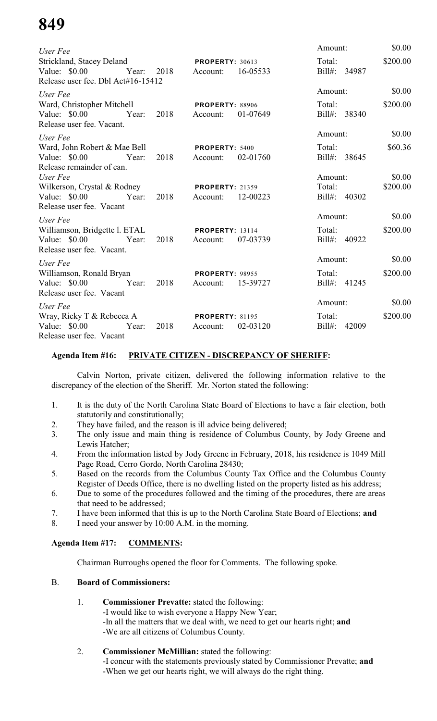| User Fee                                                                                              |                                                | Amount:                           | \$0.00             |
|-------------------------------------------------------------------------------------------------------|------------------------------------------------|-----------------------------------|--------------------|
| <b>Strickland, Stacey Deland</b><br>Value: \$0.00 Year:<br>2018<br>Release user fee. Dbl Act#16-15412 | <b>PROPERTY: 30613</b><br>16-05533<br>Account: | Total:<br>Bill#: 34987            | \$200.00           |
| User Fee                                                                                              |                                                | Amount:                           | \$0.00             |
| Ward, Christopher Mitchell<br>Value: \$0.00 Year:<br>2018<br>Release user fee. Vacant.                | <b>PROPERTY: 88906</b><br>01-07649<br>Account: | Total:<br>Bill#: 38340            | \$200.00           |
| User Fee                                                                                              |                                                | Amount:                           | \$0.00             |
| Ward, John Robert & Mae Bell<br>Value: \$0.00 Year:<br>2018<br>Release remainder of can.              | PROPERTY: 5400<br>02-01760<br>Account:         | Total:<br>Bill#: 38645            | \$60.36            |
| User Fee<br>Wilkerson, Crystal & Rodney<br>Value: \$0.00 Year:<br>2018<br>Release user fee. Vacant    | <b>PROPERTY: 21359</b><br>12-00223<br>Account: | Amount:<br>Total:<br>Bill#: 40302 | \$0.00<br>\$200.00 |
| User Fee                                                                                              |                                                | Amount:                           | \$0.00             |
| Williamson, Bridgette l. ETAL<br>Value: \$0.00 Year:<br>2018<br>Release user fee. Vacant.             | <b>PROPERTY: 13114</b><br>07-03739<br>Account: | Total:<br>Bill#: 40922            | \$200.00           |
| User Fee                                                                                              |                                                | Amount:                           | \$0.00             |
| Williamson, Ronald Bryan<br>2018<br>Value: \$0.00 Year:<br>Release user fee. Vacant                   | <b>PROPERTY: 98955</b><br>Account: 15-39727    | Total:<br>Bill#: 41245            | \$200.00           |
| User Fee                                                                                              |                                                | Amount:                           | \$0.00             |
| Wray, Ricky T & Rebecca A<br>Value: \$0.00<br>Year:<br>2018<br>Release user fee. Vacant               | <b>PROPERTY: 81195</b><br>02-03120<br>Account: | Total:<br>$Bill#$ :<br>42009      | \$200.00           |

## **Agenda Item #16: PRIVATE CITIZEN - DISCREPANCY OF SHERIFF:**

Calvin Norton, private citizen, delivered the following information relative to the discrepancy of the election of the Sheriff. Mr. Norton stated the following:

- 1. It is the duty of the North Carolina State Board of Elections to have a fair election, both statutorily and constitutionally;
- 2. They have failed, and the reason is ill advice being delivered;
- 3. The only issue and main thing is residence of Columbus County, by Jody Greene and Lewis Hatcher;
- 4. From the information listed by Jody Greene in February, 2018, his residence is 1049 Mill Page Road, Cerro Gordo, North Carolina 28430;
- 5. Based on the records from the Columbus County Tax Office and the Columbus County Register of Deeds Office, there is no dwelling listed on the property listed as his address;
- 6. Due to some of the procedures followed and the timing of the procedures, there are areas that need to be addressed;
- 7. I have been informed that this is up to the North Carolina State Board of Elections; **and**
- 8. I need your answer by 10:00 A.M. in the morning.

### **Agenda Item #17: COMMENTS:**

Chairman Burroughs opened the floor for Comments. The following spoke.

### B. **Board of Commissioners:**

- 1. **Commissioner Prevatte:** stated the following: -I would like to wish everyone a Happy New Year; -In all the matters that we deal with, we need to get our hearts right; **and** -We are all citizens of Columbus County.
- 2. **Commissioner McMillian:** stated the following:

-I concur with the statements previously stated by Commissioner Prevatte; **and** -When we get our hearts right, we will always do the right thing.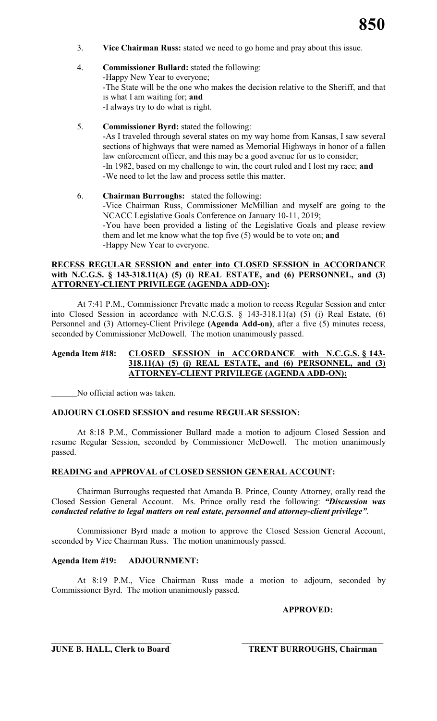- 3. **Vice Chairman Russ:** stated we need to go home and pray about this issue.
- 4. **Commissioner Bullard:** stated the following: -Happy New Year to everyone; -The State will be the one who makes the decision relative to the Sheriff, and that is what I am waiting for; **and** -I always try to do what is right.
- 5. **Commissioner Byrd:** stated the following: -As I traveled through several states on my way home from Kansas, I saw several sections of highways that were named as Memorial Highways in honor of a fallen law enforcement officer, and this may be a good avenue for us to consider; -In 1982, based on my challenge to win, the court ruled and I lost my race; **and** -We need to let the law and process settle this matter.
- 6. **Chairman Burroughs:** stated the following: -Vice Chairman Russ, Commissioner McMillian and myself are going to the NCACC Legislative Goals Conference on January 10-11, 2019; -You have been provided a listing of the Legislative Goals and please review them and let me know what the top five (5) would be to vote on; **and** -Happy New Year to everyone.

### **RECESS REGULAR SESSION and enter into CLOSED SESSION in ACCORDANCE with N.C.G.S. § 143-318.11(A) (5) (i) REAL ESTATE, and (6) PERSONNEL, and (3) ATTORNEY-CLIENT PRIVILEGE (AGENDA ADD-ON):**

At 7:41 P.M., Commissioner Prevatte made a motion to recess Regular Session and enter into Closed Session in accordance with N.C.G.S. § 143-318.11(a) (5) (i) Real Estate, (6) Personnel and (3) Attorney-Client Privilege **(Agenda Add-on)**, after a five (5) minutes recess, seconded by Commissioner McDowell. The motion unanimously passed.

# **Agenda Item #18: CLOSED SESSION in ACCORDANCE with N.C.G.S. § 143- 318.11(A) (5) (i) REAL ESTATE, and (6) PERSONNEL, and (3) ATTORNEY-CLIENT PRIVILEGE (AGENDA ADD-ON):**

No official action was taken.

# **ADJOURN CLOSED SESSION and resume REGULAR SESSION:**

At 8:18 P.M., Commissioner Bullard made a motion to adjourn Closed Session and resume Regular Session, seconded by Commissioner McDowell. The motion unanimously passed.

# **READING and APPROVAL of CLOSED SESSION GENERAL ACCOUNT:**

Chairman Burroughs requested that Amanda B. Prince, County Attorney, orally read the Closed Session General Account. Ms. Prince orally read the following: *"Discussion was conducted relative to legal matters on real estate, personnel and attorney-client privilege"*.

Commissioner Byrd made a motion to approve the Closed Session General Account, seconded by Vice Chairman Russ. The motion unanimously passed.

### **Agenda Item #19: ADJOURNMENT:**

At 8:19 P.M., Vice Chairman Russ made a motion to adjourn, seconded by Commissioner Byrd. The motion unanimously passed.

**APPROVED:**

**\_\_\_\_\_\_\_\_\_\_\_\_\_\_\_\_\_\_\_\_\_\_\_\_\_\_\_\_ \_\_\_\_\_\_\_\_\_\_\_\_\_\_\_\_\_\_\_\_\_\_\_\_\_\_\_\_\_\_\_\_\_**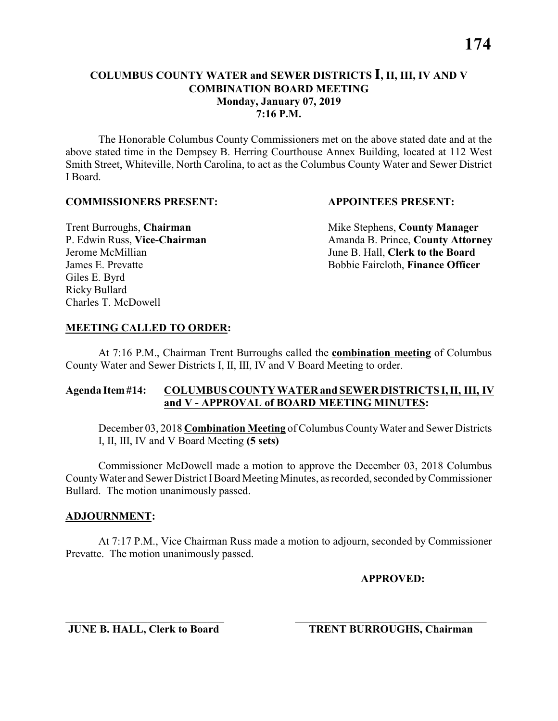**7:16 P.M.**

The Honorable Columbus County Commissioners met on the above stated date and at the above stated time in the Dempsey B. Herring Courthouse Annex Building, located at 112 West Smith Street, Whiteville, North Carolina, to act as the Columbus County Water and Sewer District I Board.

#### **COMMISSIONERS PRESENT: APPOINTEES PRESENT:**

Giles E. Byrd Ricky Bullard Charles T. McDowell

**Trent Burroughs, Chairman** Mike Stephens, **County Manager** P. Edwin Russ, Vice-Chairman Amanda B. Prince, County Attorney Jerome McMillian June B. Hall, **Clerk to the Board** James E. Prevatte Bobbie Faircloth, **Finance Officer**

#### **MEETING CALLED TO ORDER:**

At 7:16 P.M., Chairman Trent Burroughs called the **combination meeting** of Columbus County Water and Sewer Districts I, II, III, IV and V Board Meeting to order.

#### **Agenda Item #14: COLUMBUS COUNTY WATER and SEWER DISTRICTS I, II, III, IV and V - APPROVAL of BOARD MEETING MINUTES:**

December 03, 2018 **Combination Meeting** of Columbus CountyWater and Sewer Districts I, II, III, IV and V Board Meeting **(5 sets)**

Commissioner McDowell made a motion to approve the December 03, 2018 Columbus County Water and Sewer District I Board Meeting Minutes, as recorded, seconded by Commissioner Bullard. The motion unanimously passed.

#### **ADJOURNMENT:**

At 7:17 P.M., Vice Chairman Russ made a motion to adjourn, seconded by Commissioner Prevatte. The motion unanimously passed.

\_\_\_\_\_\_\_\_\_\_\_\_\_\_\_\_\_\_\_\_\_\_\_\_\_\_\_\_\_ \_\_\_\_\_\_\_\_\_\_\_\_\_\_\_\_\_\_\_\_\_\_\_\_\_\_\_\_\_\_\_\_\_\_\_

**APPROVED:**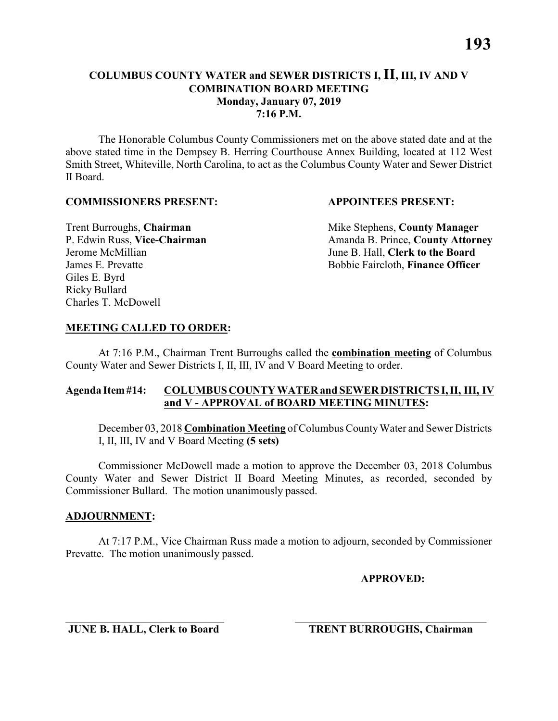The Honorable Columbus County Commissioners met on the above stated date and at the above stated time in the Dempsey B. Herring Courthouse Annex Building, located at 112 West Smith Street, Whiteville, North Carolina, to act as the Columbus County Water and Sewer District II Board.

#### **COMMISSIONERS PRESENT: APPOINTEES PRESENT:**

Giles E. Byrd Ricky Bullard Charles T. McDowell

**Trent Burroughs, Chairman** Mike Stephens, **County Manager** P. Edwin Russ, Vice-Chairman Amanda B. Prince, County Attorney Jerome McMillian June B. Hall, **Clerk to the Board** James E. Prevatte Bobbie Faircloth, **Finance Officer**

# **MEETING CALLED TO ORDER:**

At 7:16 P.M., Chairman Trent Burroughs called the **combination meeting** of Columbus County Water and Sewer Districts I, II, III, IV and V Board Meeting to order.

### **Agenda Item #14: COLUMBUS COUNTY WATER and SEWER DISTRICTS I, II, III, IV and V - APPROVAL of BOARD MEETING MINUTES:**

December 03, 2018 **Combination Meeting** of Columbus CountyWater and Sewer Districts I, II, III, IV and V Board Meeting **(5 sets)**

Commissioner McDowell made a motion to approve the December 03, 2018 Columbus County Water and Sewer District II Board Meeting Minutes, as recorded, seconded by Commissioner Bullard. The motion unanimously passed.

### **ADJOURNMENT:**

At 7:17 P.M., Vice Chairman Russ made a motion to adjourn, seconded by Commissioner Prevatte. The motion unanimously passed.

\_\_\_\_\_\_\_\_\_\_\_\_\_\_\_\_\_\_\_\_\_\_\_\_\_\_\_\_\_ \_\_\_\_\_\_\_\_\_\_\_\_\_\_\_\_\_\_\_\_\_\_\_\_\_\_\_\_\_\_\_\_\_\_\_

**APPROVED:**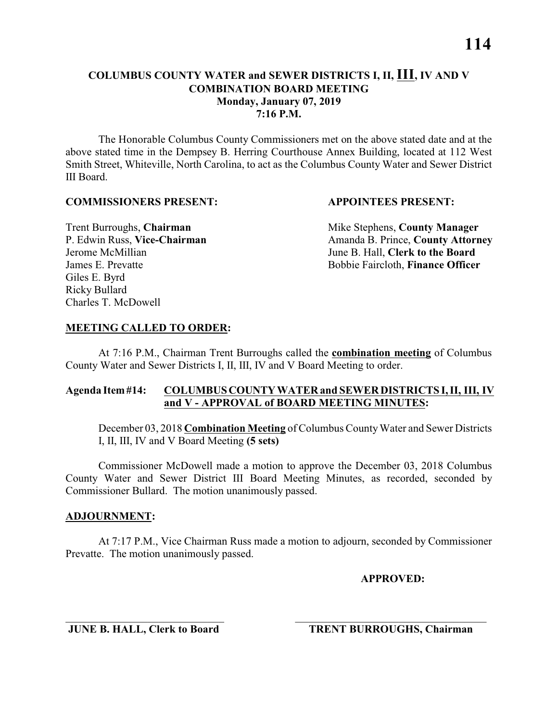#### **COLUMBUS COUNTY WATER and SEWER DISTRICTS I, II, III, IV AND V COMBINATION BOARD MEETING Monday, January 07, 2019 7:16 P.M.**

The Honorable Columbus County Commissioners met on the above stated date and at the above stated time in the Dempsey B. Herring Courthouse Annex Building, located at 112 West Smith Street, Whiteville, North Carolina, to act as the Columbus County Water and Sewer District III Board.

#### **COMMISSIONERS PRESENT: APPOINTEES PRESENT:**

Giles E. Byrd Ricky Bullard Charles T. McDowell

**Trent Burroughs, Chairman** Mike Stephens, **County Manager** P. Edwin Russ, Vice-Chairman Amanda B. Prince, County Attorney Jerome McMillian June B. Hall, **Clerk to the Board** James E. Prevatte Bobbie Faircloth, **Finance Officer**

# **MEETING CALLED TO ORDER:**

At 7:16 P.M., Chairman Trent Burroughs called the **combination meeting** of Columbus County Water and Sewer Districts I, II, III, IV and V Board Meeting to order.

### **Agenda Item #14: COLUMBUS COUNTY WATER and SEWER DISTRICTS I, II, III, IV and V - APPROVAL of BOARD MEETING MINUTES:**

December 03, 2018 **Combination Meeting** of Columbus CountyWater and Sewer Districts I, II, III, IV and V Board Meeting **(5 sets)**

Commissioner McDowell made a motion to approve the December 03, 2018 Columbus County Water and Sewer District III Board Meeting Minutes, as recorded, seconded by Commissioner Bullard. The motion unanimously passed.

### **ADJOURNMENT:**

At 7:17 P.M., Vice Chairman Russ made a motion to adjourn, seconded by Commissioner Prevatte. The motion unanimously passed.

\_\_\_\_\_\_\_\_\_\_\_\_\_\_\_\_\_\_\_\_\_\_\_\_\_\_\_\_\_ \_\_\_\_\_\_\_\_\_\_\_\_\_\_\_\_\_\_\_\_\_\_\_\_\_\_\_\_\_\_\_\_\_\_\_

### **APPROVED:**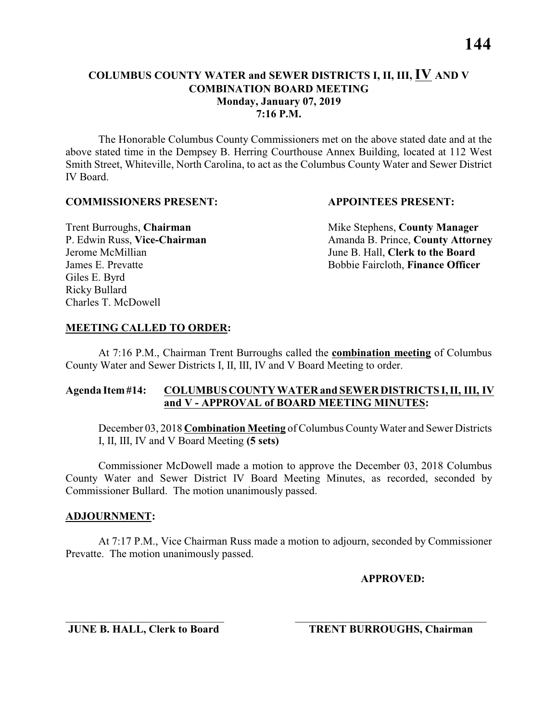#### **COLUMBUS COUNTY WATER and SEWER DISTRICTS I, II, III, IV AND V COMBINATION BOARD MEETING Monday, January 07, 2019 7:16 P.M.**

The Honorable Columbus County Commissioners met on the above stated date and at the above stated time in the Dempsey B. Herring Courthouse Annex Building, located at 112 West Smith Street, Whiteville, North Carolina, to act as the Columbus County Water and Sewer District IV Board.

#### **COMMISSIONERS PRESENT: APPOINTEES PRESENT:**

Giles E. Byrd Ricky Bullard Charles T. McDowell

**Trent Burroughs, Chairman** Mike Stephens, **County Manager** P. Edwin Russ, Vice-Chairman Amanda B. Prince, County Attorney Jerome McMillian June B. Hall, **Clerk to the Board** James E. Prevatte Bobbie Faircloth, **Finance Officer**

# **MEETING CALLED TO ORDER:**

At 7:16 P.M., Chairman Trent Burroughs called the **combination meeting** of Columbus County Water and Sewer Districts I, II, III, IV and V Board Meeting to order.

### **Agenda Item #14: COLUMBUS COUNTY WATER and SEWER DISTRICTS I, II, III, IV and V - APPROVAL of BOARD MEETING MINUTES:**

December 03, 2018 **Combination Meeting** of Columbus CountyWater and Sewer Districts I, II, III, IV and V Board Meeting **(5 sets)**

Commissioner McDowell made a motion to approve the December 03, 2018 Columbus County Water and Sewer District IV Board Meeting Minutes, as recorded, seconded by Commissioner Bullard. The motion unanimously passed.

### **ADJOURNMENT:**

At 7:17 P.M., Vice Chairman Russ made a motion to adjourn, seconded by Commissioner Prevatte. The motion unanimously passed.

\_\_\_\_\_\_\_\_\_\_\_\_\_\_\_\_\_\_\_\_\_\_\_\_\_\_\_\_\_ \_\_\_\_\_\_\_\_\_\_\_\_\_\_\_\_\_\_\_\_\_\_\_\_\_\_\_\_\_\_\_\_\_\_\_

**APPROVED:**